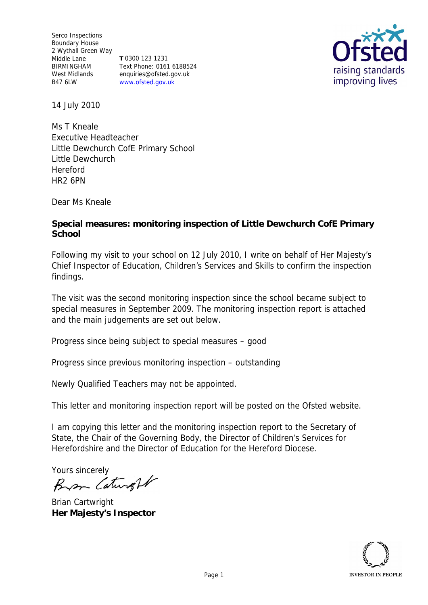Serco Inspections Boundary House 2 Wythall Green Way Middle Lane BIRMINGHAM West Midlands B47 6LW **T** 0300 123 1231 Text Phone: 0161 6188524 enquiries@ofsted.gov.uk www.ofsted.gov.uk



14 July 2010

Ms T Kneale Executive Headteacher Little Dewchurch CofE Primary School Little Dewchurch Hereford HR2 6PN

Dear Ms Kneale

**Special measures: monitoring inspection of Little Dewchurch CofE Primary School**

Following my visit to your school on 12 July 2010, I write on behalf of Her Majesty's Chief Inspector of Education, Children's Services and Skills to confirm the inspection findings.

The visit was the second monitoring inspection since the school became subject to special measures in September 2009. The monitoring inspection report is attached and the main judgements are set out below.

Progress since being subject to special measures *–* good

Progress since previous monitoring inspection – outstanding

Newly Qualified Teachers may not be appointed.

This letter and monitoring inspection report will be posted on the Ofsted website.

I am copying this letter and the monitoring inspection report to the Secretary of State, the Chair of the Governing Body, the Director of Children's Services for Herefordshire and the Director of Education for the Hereford Diocese.

Yours sincerely<br>Bran Caturell

Brian Cartwright **Her Majesty's Inspector** 

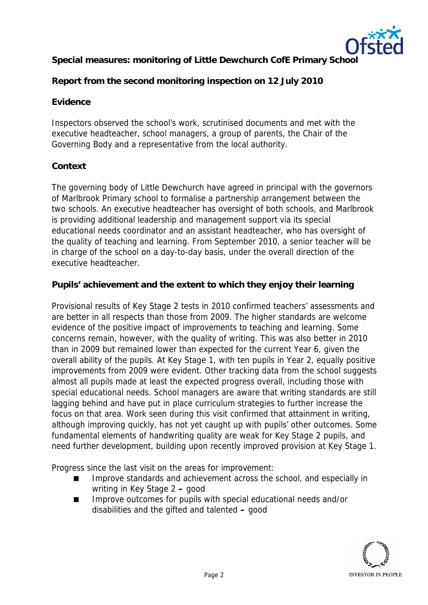

**Special measures: monitoring of Little Dewchurch CofE Primary School**

**Report from the second monitoring inspection on 12 July 2010**

# **Evidence**

Inspectors observed the school's work, scrutinised documents and met with the executive headteacher, school managers, a group of parents, the Chair of the Governing Body and a representative from the local authority.

## **Context**

The governing body of Little Dewchurch have agreed in principal with the governors of Marlbrook Primary school to formalise a partnership arrangement between the two schools. An executive headteacher has oversight of both schools, and Marlbrook is providing additional leadership and management support via its special educational needs coordinator and an assistant headteacher, who has oversight of the quality of teaching and learning. From September 2010, a senior teacher will be in charge of the school on a day-to-day basis, under the overall direction of the executive headteacher.

**Pupils' achievement and the extent to which they enjoy their learning**

Provisional results of Key Stage 2 tests in 2010 confirmed teachers' assessments and are better in all respects than those from 2009. The higher standards are welcome evidence of the positive impact of improvements to teaching and learning. Some concerns remain, however, with the quality of writing. This was also better in 2010 than in 2009 but remained lower than expected for the current Year 6, given the overall ability of the pupils. At Key Stage 1, with ten pupils in Year 2, equally positive improvements from 2009 were evident. Other tracking data from the school suggests almost all pupils made at least the expected progress overall, including those with special educational needs. School managers are aware that writing standards are still lagging behind and have put in place curriculum strategies to further increase the focus on that area. Work seen during this visit confirmed that attainment in writing, although improving quickly, has not yet caught up with pupils' other outcomes. Some fundamental elements of handwriting quality are weak for Key Stage 2 pupils, and need further development, building upon recently improved provision at Key Stage 1.

Progress since the last visit on the areas for improvement:

- Improve standards and achievement across the school, and especially in writing in Key Stage 2 **–** good
- Improve outcomes for pupils with special educational needs and/or disabilities and the gifted and talented **–** good

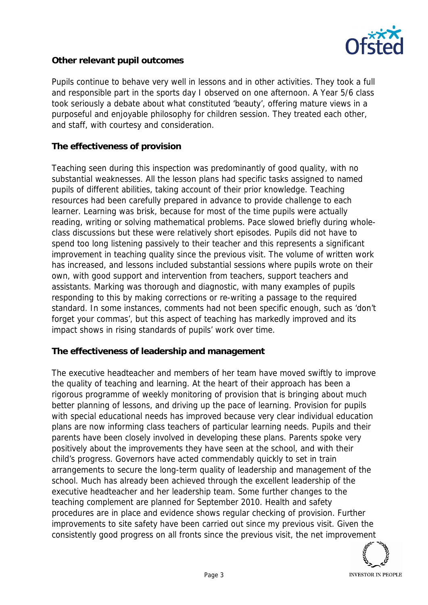

# **Other relevant pupil outcomes**

Pupils continue to behave very well in lessons and in other activities. They took a full and responsible part in the sports day I observed on one afternoon. A Year 5/6 class took seriously a debate about what constituted 'beauty', offering mature views in a purposeful and enjoyable philosophy for children session. They treated each other, and staff, with courtesy and consideration.

### **The effectiveness of provision**

Teaching seen during this inspection was predominantly of good quality, with no substantial weaknesses. All the lesson plans had specific tasks assigned to named pupils of different abilities, taking account of their prior knowledge. Teaching resources had been carefully prepared in advance to provide challenge to each learner. Learning was brisk, because for most of the time pupils were actually reading, writing or solving mathematical problems. Pace slowed briefly during wholeclass discussions but these were relatively short episodes. Pupils did not have to spend too long listening passively to their teacher and this represents a significant improvement in teaching quality since the previous visit. The volume of written work has increased, and lessons included substantial sessions where pupils wrote on their own, with good support and intervention from teachers, support teachers and assistants. Marking was thorough and diagnostic, with many examples of pupils responding to this by making corrections or re-writing a passage to the required standard. In some instances, comments had not been specific enough, such as 'don't forget your commas', but this aspect of teaching has markedly improved and its impact shows in rising standards of pupils' work over time.

#### **The effectiveness of leadership and management**

The executive headteacher and members of her team have moved swiftly to improve the quality of teaching and learning. At the heart of their approach has been a rigorous programme of weekly monitoring of provision that is bringing about much better planning of lessons, and driving up the pace of learning. Provision for pupils with special educational needs has improved because very clear individual education plans are now informing class teachers of particular learning needs. Pupils and their parents have been closely involved in developing these plans. Parents spoke very positively about the improvements they have seen at the school, and with their child's progress. Governors have acted commendably quickly to set in train arrangements to secure the long-term quality of leadership and management of the school. Much has already been achieved through the excellent leadership of the executive headteacher and her leadership team. Some further changes to the teaching complement are planned for September 2010. Health and safety procedures are in place and evidence shows regular checking of provision. Further improvements to site safety have been carried out since my previous visit. Given the consistently good progress on all fronts since the previous visit, the net improvement

**INVESTOR IN PEOPLE**